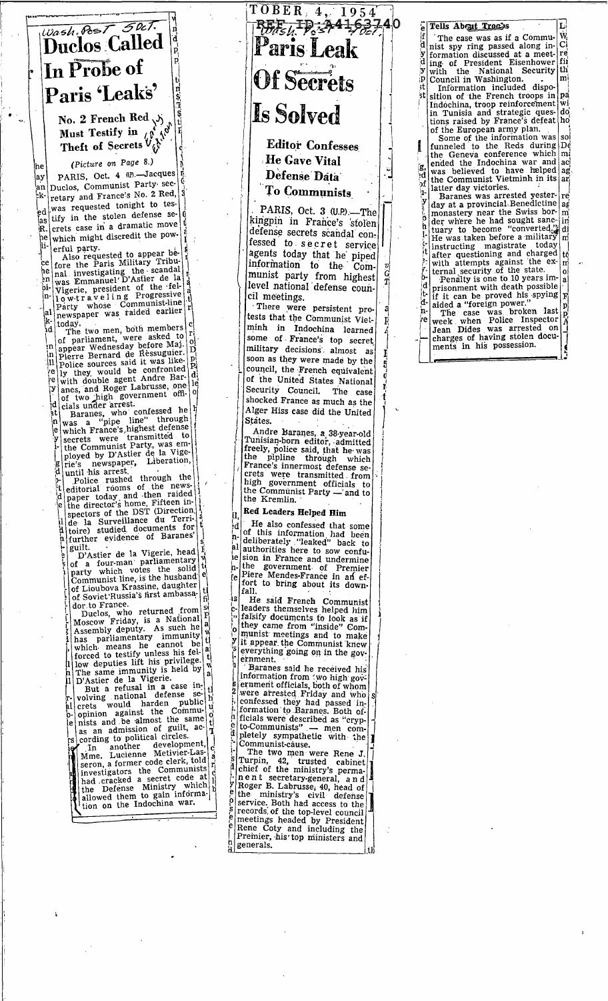

No. 2 French Red  $\begin{pmatrix} \lambda \\ \lambda \end{pmatrix}$ <br>Must Testify in  $\begin{pmatrix} \beta & \lambda^0 \\ \lambda & \lambda^0 \end{pmatrix}$ <br>Theft of Secrets  $V_{\lambda}$ 

ay

an

ьk.

ed

(Picture on Page 8.) PARIS, Oct. 4 (P).-Jacques Duclos, Communist Party secretary and France's No. 2 Red, was requested tonight to testify in the stolen defense secrets case in a dramatic move ìΒ. which might discredit the powþе li-

erful party.<br>
Also requested to appear be-<br>
Also requested to appear be-<br>
fore the Paris Military Tribu-<br>
al investigating the scandal<br>
was Emmanuel'D'Astier de la<br>
Vigerie, president of the fel-<br>
low-tr a v e l in g Progr 'nе he ١'n ۱ŋ. Party newspaper was raided earlier a1

Facty<br>
newspaper was raided cannot<br>
today.<br>
The two men, both members cluday.<br>
The two men, both members of<br>
of parliament, were asked to<br>
perre Bernard de Ressuguier.<br>
Police sources said it was like-<br>
Police sources said 'nd ١ń ĺ۱۱ ïУ .ol

rie's newspaper,<br>until his arrest. ូ<br>៤

until his arrest,<br>
Police rushed through the<br>
editorial rooms of the news-<br>
paper today and then raided<br>
the director's home, Fifteen in-<br>
spectors of the DST (Direction<br>
de la Surveillance du Terri-<br>
toire) studied docume :<br>ان guilt

D'Astier de la Vigerie, head of a four-man parliamentary<br>party which votes the solid<br>Communist line, is the husband<br>Communist line, is the husband  $\alpha$ of Lioubova Krassine, daughter of Soviet Russia's first ambassa-

of Lioubova Krassine, daughter<br>
of Soviet'Russia's first ambassa-<br>
dor to France.<br>
Duclos, who returned from single<br>
Moseow Friday, is a National<br>
Massembly deputy. As such he<br>
which means he cannot be<br>
which means he cann

İe

# TOBER 4, 1954 Of Secrets Is Solved

**Editor Confesses He Gave Vital** Defense Data

**To Communists** 

PARIS, Oct. 3 (U.P.).-The kingpin in France's stolen defense secrets scandal confessed to secret service agents today that he piped<br>information to the Com-<br>munist party from highest level national defense council meetings.

There were persistent protests that the Communist Vietminh in Indochina learned some of France's top secret military decisions almost as<br>soon as they were made by the council, the French equivalent of the United States National Security Council. The case shocked France as much as the Alger Hiss case did the United States.

Andre Baranes, a 38-year-old<br>Tunisian-born editor, admitted<br>freely, police said, that he was<br>the pipline through which France's innermost defense se-<br>crets were transmitted from<br>high government officials to<br>the Communist Party — and to the Kremlin.

Red Leaders Helped Him

He also confessed that some ١d If the also confessed that some<br>of this information had been<br>deliberately "leaked" back to<br>authorities here to sow confu-<br>sion in France and undermine<br>the government of Premier<br>Piere Mendes-France in an ef-<br>fort to bring a 'n-'al ie 'n. ŗе fall.

He said French Communist<br>leaders themselves helped him<br>falsify documents to look as if<br>they came from "inside" Com-۱s  $\frac{c}{r}$  $-769$ munist meetings and to make it appear the Communist knew ernment.

Baranes said he received his information from two high gov-<br>ernment officials, both of whom exercised Friday and whom<br>confessed they had passed in-<br>confessed they had passed in-<br>formation to Baranes. Both of-<br>ficials were described as "cryp-<br>to-Communists" 'n<br>ed

ficials were described as "cryp-<br>to-Communists" — men com-<br>pletely sympathetic with the<br>Communist-cause.<br>The two men were Rene J.<br>Turpin, 42, trusted cabinet<br>chief of the ministry's perma-<br>nent secretary-general, and<br>Roge  $\frac{1}{2}$  is a meetings headed by President<br>Rene Coty and including the<br>Premier, his top ministers and<br>generals.

#### Tells About Trochs

٠t

T

w<br>Ci lf<br>d The case was as if a Commu-The case was as if a Commu-Wi<br>
nist spy ring passed along in-Ci<br>
ing of President Eisenhower fii<br>
ing of President Eisenhower fii<br>
with the National Security th<br>
Council in Washington.<br>
Information included dispo-<br>
sition y<br>d þ

of the European army plan.<br>
Some of the information was sol<br>
funneled to the Reds during De<br>
the Geneva conference which ſ ended the Indochina war and act<br>was believed to have helped ag<br>the Communist Vietminh in its ar ag. न Ъť ı<br>y

latter day victories.<br>Baranes was arrested yester-<br>day at a provincial Benedictine re | aءُ day at a provincial behind the Swiss border where he had sought sanc-<br>der where he had sought sanc-<br>tuary to become "converted."<br>He was taken before a military  $m<sub>i</sub>$ đÍ mi He was taken before a minimizing<br>instructing magistrate today<br>after questioning and charged<br>with attempts against the ex-<br>ternal security of the state.<br>Penalty is one to 10 years im-<br>prisonment with death possible<br>prisonme tć  $\mathbf{m}$ aİ

ł. prisonment with death possible<br>if it can be proved his spying<br>aided a "foreign power."<br>The case was broken last<br>week when Police Inspector<br>Jean Dides was arrested on<br>charges of having stolen docu-<br>arrest in his possession F d-'n. 'nе ments in his possession.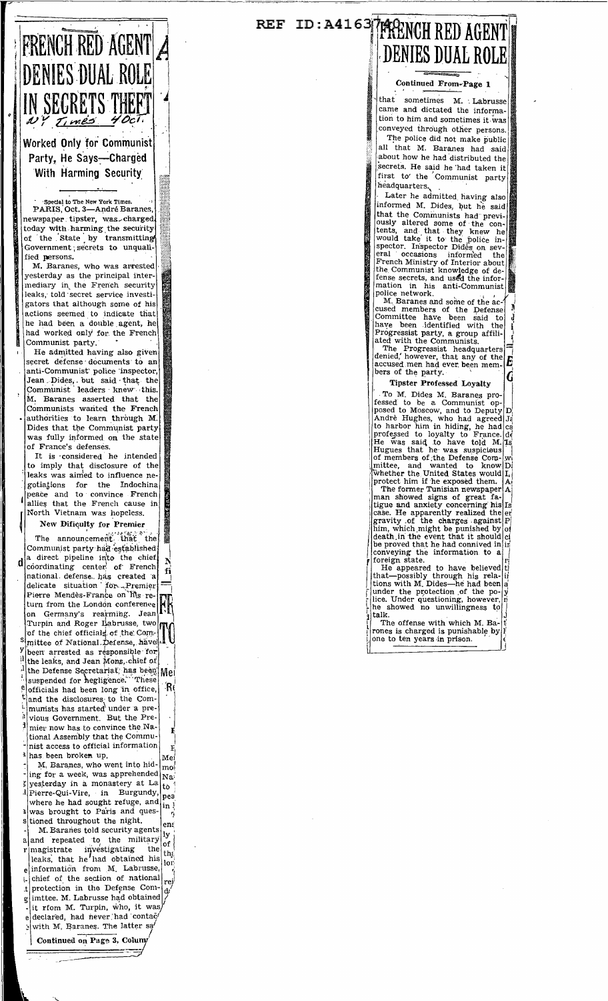## FRENCH RED AGENT **DENIES DUAL ROLE SECRETS THEFT** Times

#### Worked Only for Communist Party, He Says-Charged With Harming Security

ecial to The New York Tir PARIS, Oct. 3-André Baranes, newspaper tipster, was charged today with harming the security of the State by transmitting Government secrets to unqualified persons.

M. Baranes, who was arrested yesterday as the principal inter-<br>mediary in the French security leaks, told secret service investigators that although some of his actions seemed to indicate that he had been a double agent, he had worked only for the French Communist party.

He admitted having also given secret defense documents to an anti-Communist police inspector, Jean Dides, but said that the<br>Communist leaders knew this. M. Baranes asserted that the Communists wanted the French authorities to learn through M. Dides that the Communist party was fully informed on the state of France's defenses.

It is considered he intended to imply that disclosure of the leaks was aimed to influence negotiations for the Indochina peace and to convince French allies that the French cause in North Vietnam was hopeless.

New Dificulty for Premier

The announcement that the Communist party had established a direct pipeline into the chief d coordinating center of French national defense has created a<br>delicate situation for Premier<br>Pierre Mendès-France on his return from the London conference on Germany's rearming. Jean Turpin and Roger Labrusse two of the chief officials of the Committee of National Defense, have<br>|been arrested as responsible for v the leaks, and Jean Mons, chief of h the Defense Secretariat has been Me officials had been long in office,<br>and the disclosures, to the ComίRι munists has started under a previous Government. But the Premier now has to convince the National Assembly that the Commu-<br>nist access to official information has been broken up.

M. Baranes, who went into hid- $\mathbf{mo}^{\dagger}$ ing for a week, was apprehended |Nai yesterday in a monastery at La<br>Pierre-Qui-Vire, in Burgundy, ito. bea where he had sought refuge, and  $in!$ was brought to Paris and questioned throughout the night.

M. Baranes told security agents M. Baranes told security agents  $\begin{bmatrix} 1y \\ y \\ \text{and} \end{bmatrix}$  and repeated to the military of nagistrate investigating the theorem. information from M. Labrusse, chief of the section of national rei protection in the Defense Com-.t imttee. M. Labrusse had obtained g it rfom M. Turpin, who, it was declared, had never had contac with M. Baranes. The latter sa

Continued on Page 3, Columy

### REF ID: A4163 TARENCH RED AGENT **DENIES DUAL ROLE**

Continued From-Page 1

that sometimes M. Labrusse came and dictated the information to him and sometimes it was conveyed through other persons.

The police did not make public all that M. Baranes had said<br>about how he had distributed the secrets. He said he had taken it first to the Communist party headquarters.

Later he admitted having also informed M. Dides, but he said that the Communists had previ-That the Communists had previ-<br>ously altered some of the con-<br>tenst, and that they knew he<br>would take it to the police in-<br>spector. Inspector Dides on sev-<br>eral occasions informed the<br>French Ministry of Interior about<br>the mation in his anti-Communist police network.<br>M. Baranes and some of the ac-

cused members of the Defense<br>Committee have been said to<br>have been identified with the Progressist party, a group affiliated with the Communists.

The Progressist headquarters<br>denied, however, that any of the<br>accused men had ever been mem-E bers of the party. G

**Tipster Professed Loyalty** 

Tipster Professed Loyalty<br>
To M. Dides M. Baranes pro-<br>
fessed to be a Communist op-<br>
posed to Moscow, and to Deputy<br>
Andre Hughes, who had agreed Ju<br>
to harbor him in hiding, he had ce<br>
professed to loyalty to France. dd<br> l Ts de D. protect him if he exposed them. At<br>The former Tunisian newspaper A<br>man showed signs of great fa-<br>tigue and anxiety concerning his Is<br>case. He apparently realized the er-<br>gravity of the charges against  $[P]$ <br>him, which migh conveying the information to a foreign state.<br>He appeared to have believed

He appeared to nave benevely that—possibly through his relations with M. Dides—he had been a<br>under the protection of the po-<br>under the protection of the po-<br>lice. Under questioning, however, in<br>the showed no unwillingness talk.

The offense with which M. Barife offense with which M. Bar<br>rones is charged is punishable by<br>one to ten years in prison.